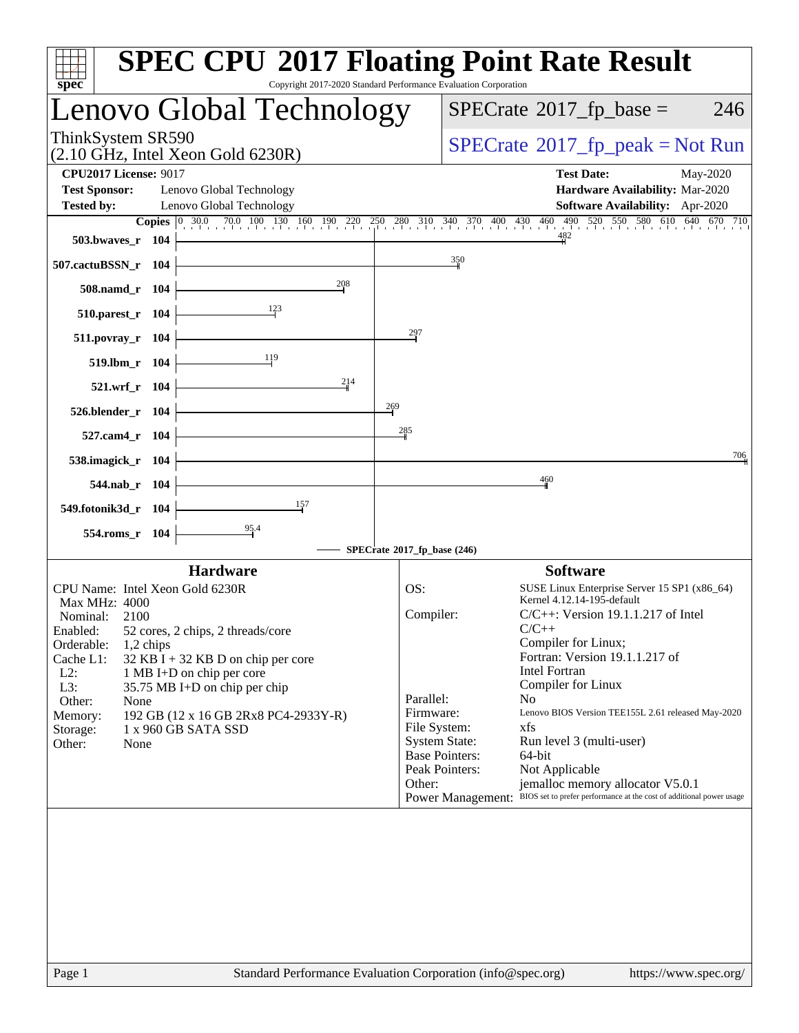| spec <sup>®</sup>                                                                        | <b>SPEC CPU®2017 Floating Point Rate Result</b><br>Copyright 2017-2020 Standard Performance Evaluation Corporation                                                                                 |
|------------------------------------------------------------------------------------------|----------------------------------------------------------------------------------------------------------------------------------------------------------------------------------------------------|
| Lenovo Global Technology                                                                 | $SPECrate^{\circledast}2017$ _fp_base =<br>246                                                                                                                                                     |
| ThinkSystem SR590<br>$(2.10 \text{ GHz}, \text{Intel Xeon Gold } 6230\text{R})$          | $SPECrate^{\circ}2017$ [p_peak = Not Run                                                                                                                                                           |
| <b>CPU2017 License: 9017</b><br><b>Test Sponsor:</b><br>Lenovo Global Technology         | <b>Test Date:</b><br>May-2020<br>Hardware Availability: Mar-2020                                                                                                                                   |
| <b>Tested by:</b><br>Lenovo Global Technology                                            | Software Availability: Apr-2020                                                                                                                                                                    |
| 503.bwaves_r 104                                                                         | <b>Copies</b> $\begin{bmatrix} 0 & 30.0 & 70.0 & 100 & 130 & 160 & 190 & 220 & 250 & 280 & 310 & 340 & 370 & 400 & 430 & 460 & 490 & 520 & 550 & 580 & 610 & 640 & 670 & 710 \end{bmatrix}$<br>482 |
| 507.cactuBSSN_r 104                                                                      | $\frac{350}{2}$                                                                                                                                                                                    |
| 208<br>508.namd r 104                                                                    |                                                                                                                                                                                                    |
| $\frac{123}{2}$<br>510.parest_r 104                                                      |                                                                                                                                                                                                    |
| 511.povray_r 104                                                                         | 297                                                                                                                                                                                                |
| 119<br>519.lbm r 104                                                                     |                                                                                                                                                                                                    |
| 214<br>521.wrf r 104                                                                     |                                                                                                                                                                                                    |
| 526.blender_r 104                                                                        | 269                                                                                                                                                                                                |
| 527.cam4 r 104                                                                           | 285                                                                                                                                                                                                |
| 538.imagick_r 104                                                                        | 706                                                                                                                                                                                                |
| 544.nab r 104                                                                            | 460                                                                                                                                                                                                |
| 157<br>549.fotonik3d_r 104                                                               |                                                                                                                                                                                                    |
| 95.4<br>554.roms_r 104                                                                   |                                                                                                                                                                                                    |
|                                                                                          | SPECrate®2017_fp_base (246)                                                                                                                                                                        |
| <b>Hardware</b><br>CPU Name: Intel Xeon Gold 6230R                                       | <b>Software</b><br>OS:<br>SUSE Linux Enterprise Server 15 SP1 (x86_64)                                                                                                                             |
| Max MHz: 4000                                                                            | Kernel 4.12.14-195-default                                                                                                                                                                         |
| Nominal:<br>2100<br>52 cores, 2 chips, 2 threads/core<br>Enabled:                        | Compiler:<br>$C/C++$ : Version 19.1.1.217 of Intel<br>$C/C++$                                                                                                                                      |
| Orderable:<br>1,2 chips                                                                  | Compiler for Linux;                                                                                                                                                                                |
| Cache L1:<br>$32$ KB I + 32 KB D on chip per core<br>$L2$ :<br>1 MB I+D on chip per core | Fortran: Version 19.1.1.217 of<br>Intel Fortran                                                                                                                                                    |
| L3:<br>35.75 MB I+D on chip per chip                                                     | Compiler for Linux                                                                                                                                                                                 |
| Other:<br>None<br>192 GB (12 x 16 GB 2Rx8 PC4-2933Y-R)<br>Memory:                        | Parallel:<br>N <sub>0</sub><br>Lenovo BIOS Version TEE155L 2.61 released May-2020<br>Firmware:                                                                                                     |
| 1 x 960 GB SATA SSD<br>Storage:                                                          | File System:<br>xfs                                                                                                                                                                                |
| Other:<br>None                                                                           | <b>System State:</b><br>Run level 3 (multi-user)                                                                                                                                                   |
|                                                                                          | <b>Base Pointers:</b><br>64-bit<br>Peak Pointers:<br>Not Applicable                                                                                                                                |
|                                                                                          | Other:<br>jemalloc memory allocator V5.0.1                                                                                                                                                         |
|                                                                                          | BIOS set to prefer performance at the cost of additional power usage<br>Power Management:                                                                                                          |
|                                                                                          |                                                                                                                                                                                                    |
|                                                                                          |                                                                                                                                                                                                    |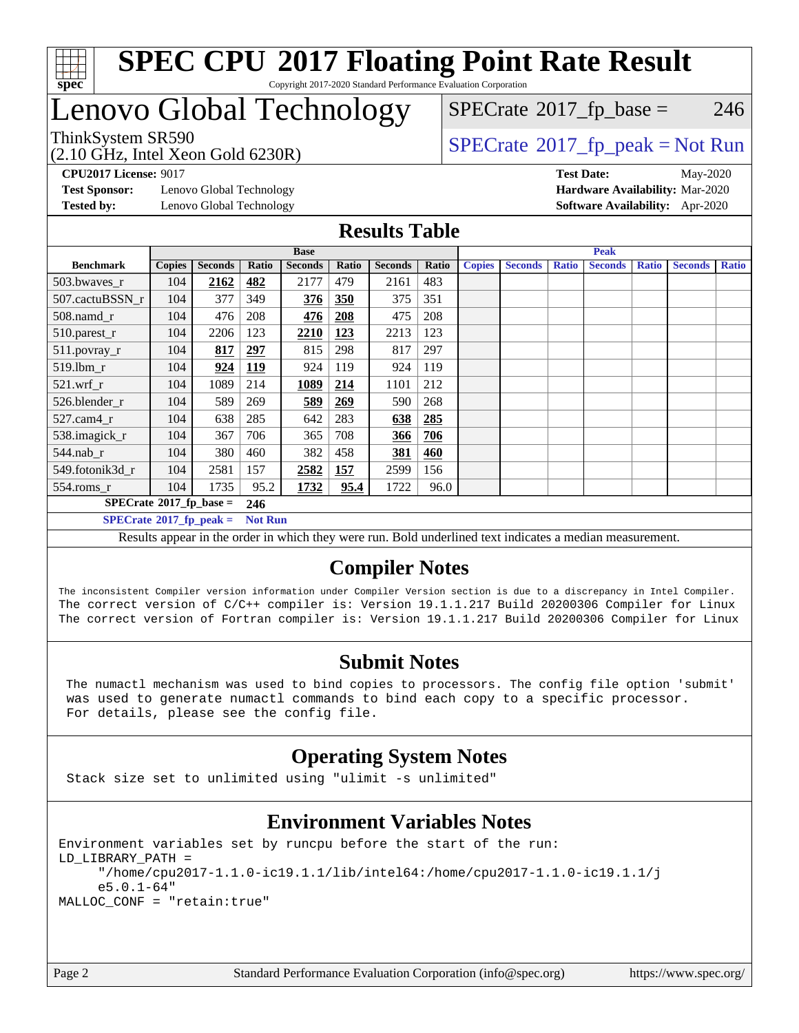

# Lenovo Global Technology

(2.10 GHz, Intel Xeon Gold 6230R)

ThinkSystem SR590<br>  $\begin{array}{c}\n\text{7.10 GHz} \quad \text{Total Year} \quad \text{Cold} \quad \text{G20R}\n\end{array}$  [SPECrate](http://www.spec.org/auto/cpu2017/Docs/result-fields.html#SPECrate2017fppeak)®[2017\\_fp\\_peak = N](http://www.spec.org/auto/cpu2017/Docs/result-fields.html#SPECrate2017fppeak)ot Run  $SPECTate@2017_fp\_base = 246$ 

**[Test Sponsor:](http://www.spec.org/auto/cpu2017/Docs/result-fields.html#TestSponsor)** Lenovo Global Technology **[Hardware Availability:](http://www.spec.org/auto/cpu2017/Docs/result-fields.html#HardwareAvailability)** Mar-2020 **[Tested by:](http://www.spec.org/auto/cpu2017/Docs/result-fields.html#Testedby)** Lenovo Global Technology **[Software Availability:](http://www.spec.org/auto/cpu2017/Docs/result-fields.html#SoftwareAvailability)** Apr-2020

**[CPU2017 License:](http://www.spec.org/auto/cpu2017/Docs/result-fields.html#CPU2017License)** 9017 **[Test Date:](http://www.spec.org/auto/cpu2017/Docs/result-fields.html#TestDate)** May-2020

### **[Results Table](http://www.spec.org/auto/cpu2017/Docs/result-fields.html#ResultsTable)**

|                                               | <b>Base</b>   |                |                |                |            |                | <b>Peak</b> |               |                |              |                |              |                |              |
|-----------------------------------------------|---------------|----------------|----------------|----------------|------------|----------------|-------------|---------------|----------------|--------------|----------------|--------------|----------------|--------------|
| <b>Benchmark</b>                              | <b>Copies</b> | <b>Seconds</b> | Ratio          | <b>Seconds</b> | Ratio      | <b>Seconds</b> | Ratio       | <b>Copies</b> | <b>Seconds</b> | <b>Ratio</b> | <b>Seconds</b> | <b>Ratio</b> | <b>Seconds</b> | <b>Ratio</b> |
| 503.bwayes_r                                  | 104           | 2162           | <u>482</u>     | 2177           | 479        | 2161           | 483         |               |                |              |                |              |                |              |
| 507.cactuBSSN r                               | 104           | 377            | 349            | 376            | 350        | 375            | 351         |               |                |              |                |              |                |              |
| $508$ .namd $r$                               | 104           | 476            | 208            | 476            | 208        | 475            | 208         |               |                |              |                |              |                |              |
| 510.parest_r                                  | 104           | 2206           | 123            | 2210           | 123        | 2213           | 123         |               |                |              |                |              |                |              |
| 511.povray_r                                  | 104           | 817            | 297            | 815            | 298        | 817            | 297         |               |                |              |                |              |                |              |
| 519.lbm r                                     | 104           | 924            | <u>119</u>     | 924            | 119        | 924            | 119         |               |                |              |                |              |                |              |
| $521$ .wrf $r$                                | 104           | 1089           | 214            | 1089           | 214        | 1101           | 212         |               |                |              |                |              |                |              |
| 526.blender r                                 | 104           | 589            | 269            | 589            | <u>269</u> | 590            | 268         |               |                |              |                |              |                |              |
| $527$ .cam $4r$                               | 104           | 638            | 285            | 642            | 283        | 638            | 285         |               |                |              |                |              |                |              |
| 538.imagick_r                                 | 104           | 367            | 706            | 365            | 708        | <u>366</u>     | 706         |               |                |              |                |              |                |              |
| $544$ .nab r                                  | 104           | 380            | 460            | 382            | 458        | 381            | 460         |               |                |              |                |              |                |              |
| 549.fotonik3d r                               | 104           | 2581           | 157            | 2582           | <u>157</u> | 2599           | 156         |               |                |              |                |              |                |              |
| $554$ .roms_r                                 | 104           | 1735           | 95.2           | 1732           | 95.4       | 1722           | 96.0        |               |                |              |                |              |                |              |
| $SPECrate$ <sup>®</sup> 2017_fp_base =<br>246 |               |                |                |                |            |                |             |               |                |              |                |              |                |              |
| $SPECrate^{\circ}2017$ fp peak =              |               |                | <b>Not Run</b> |                |            |                |             |               |                |              |                |              |                |              |

Results appear in the [order in which they were run.](http://www.spec.org/auto/cpu2017/Docs/result-fields.html#RunOrder) Bold underlined text [indicates a median measurement.](http://www.spec.org/auto/cpu2017/Docs/result-fields.html#Median)

### **[Compiler Notes](http://www.spec.org/auto/cpu2017/Docs/result-fields.html#CompilerNotes)**

The inconsistent Compiler version information under Compiler Version section is due to a discrepancy in Intel Compiler. The correct version of C/C++ compiler is: Version 19.1.1.217 Build 20200306 Compiler for Linux The correct version of Fortran compiler is: Version 19.1.1.217 Build 20200306 Compiler for Linux

### **[Submit Notes](http://www.spec.org/auto/cpu2017/Docs/result-fields.html#SubmitNotes)**

 The numactl mechanism was used to bind copies to processors. The config file option 'submit' was used to generate numactl commands to bind each copy to a specific processor. For details, please see the config file.

### **[Operating System Notes](http://www.spec.org/auto/cpu2017/Docs/result-fields.html#OperatingSystemNotes)**

Stack size set to unlimited using "ulimit -s unlimited"

### **[Environment Variables Notes](http://www.spec.org/auto/cpu2017/Docs/result-fields.html#EnvironmentVariablesNotes)**

Environment variables set by runcpu before the start of the run: LD\_LIBRARY\_PATH = "/home/cpu2017-1.1.0-ic19.1.1/lib/intel64:/home/cpu2017-1.1.0-ic19.1.1/j e5.0.1-64" MALLOC\_CONF = "retain:true"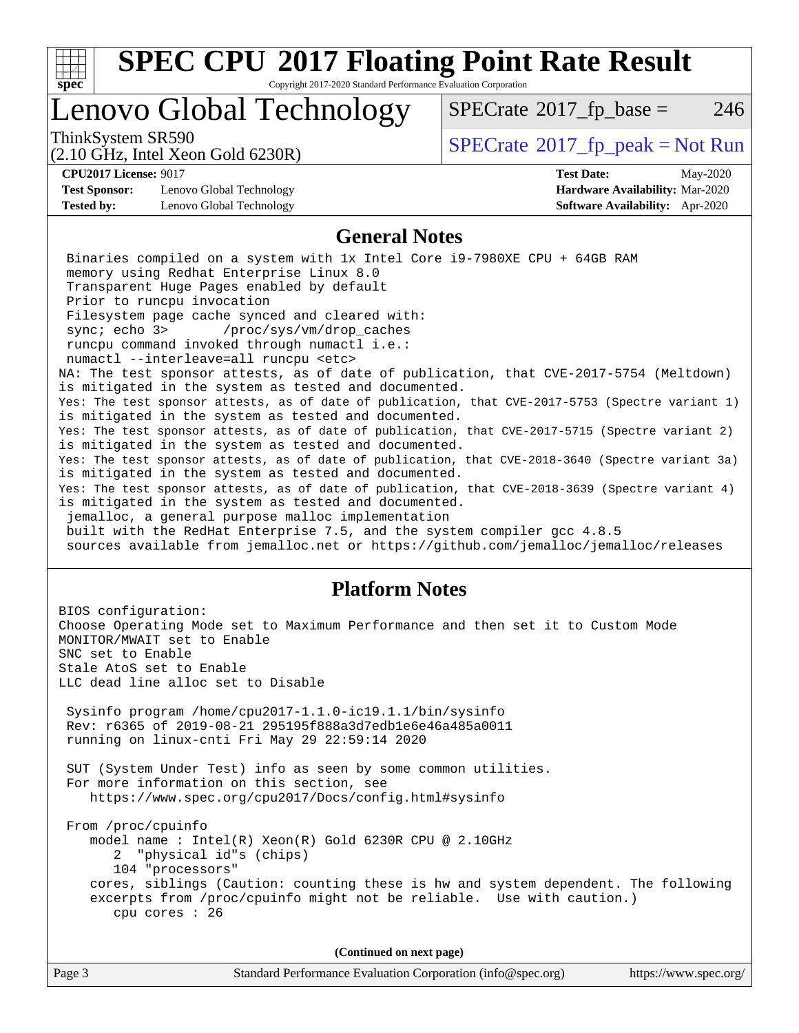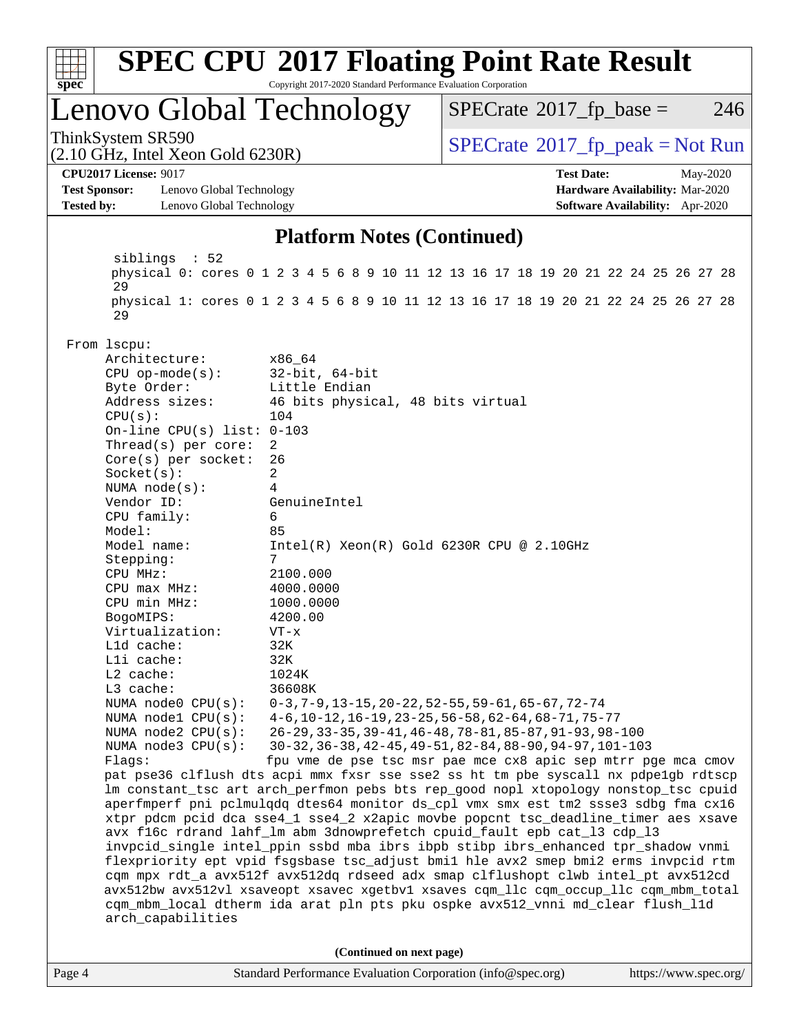

| Page 4 | Standard Performance Evaluation Corporation (info@spec.org) | https://www.spec.org/ |
|--------|-------------------------------------------------------------|-----------------------|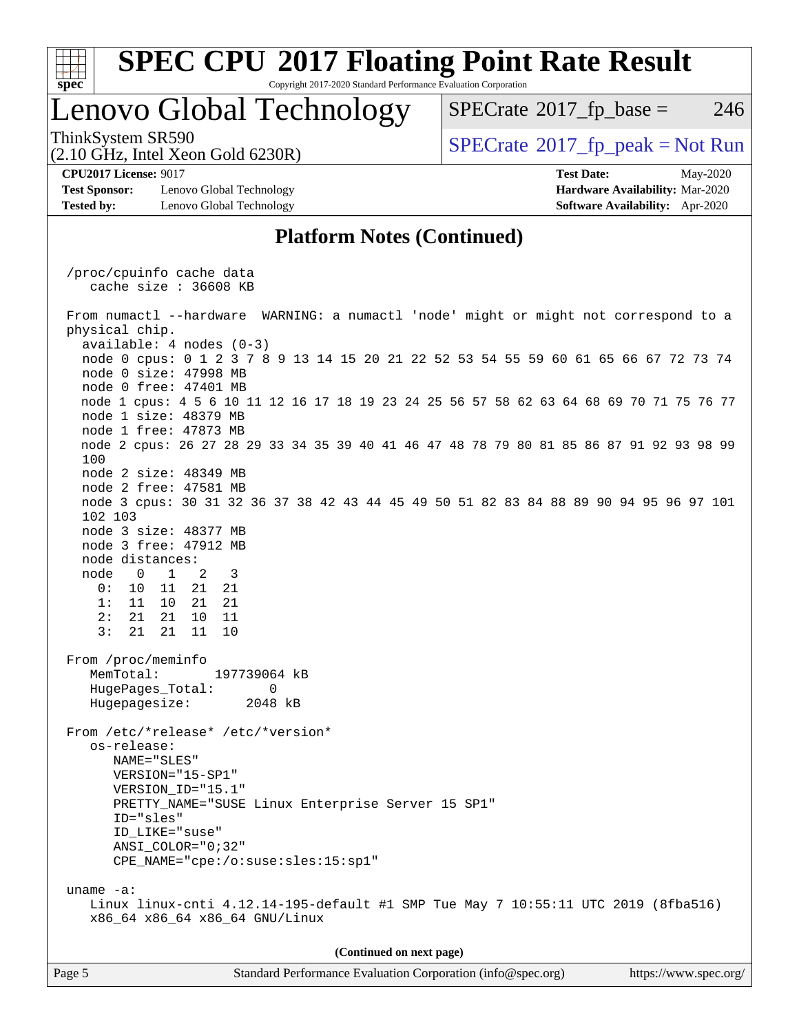| S.<br>De<br>ι. |  |  |  |  |  |
|----------------|--|--|--|--|--|

# **[SPEC CPU](http://www.spec.org/auto/cpu2017/Docs/result-fields.html#SPECCPU2017FloatingPointRateResult)[2017 Floating Point Rate Result](http://www.spec.org/auto/cpu2017/Docs/result-fields.html#SPECCPU2017FloatingPointRateResult)**

Copyright 2017-2020 Standard Performance Evaluation Corporation

# Lenovo Global Technology

 $SPECTate@2017_fp\_base = 246$ 

(2.10 GHz, Intel Xeon Gold 6230R)

ThinkSystem SR590<br>  $SPECTR_{10}$  [SPECrate](http://www.spec.org/auto/cpu2017/Docs/result-fields.html#SPECrate2017fppeak)®[2017\\_fp\\_peak = N](http://www.spec.org/auto/cpu2017/Docs/result-fields.html#SPECrate2017fppeak)ot Run

**[Test Sponsor:](http://www.spec.org/auto/cpu2017/Docs/result-fields.html#TestSponsor)** Lenovo Global Technology **[Hardware Availability:](http://www.spec.org/auto/cpu2017/Docs/result-fields.html#HardwareAvailability)** Mar-2020 **[Tested by:](http://www.spec.org/auto/cpu2017/Docs/result-fields.html#Testedby)** Lenovo Global Technology **[Software Availability:](http://www.spec.org/auto/cpu2017/Docs/result-fields.html#SoftwareAvailability)** Apr-2020

**[CPU2017 License:](http://www.spec.org/auto/cpu2017/Docs/result-fields.html#CPU2017License)** 9017 **[Test Date:](http://www.spec.org/auto/cpu2017/Docs/result-fields.html#TestDate)** May-2020

### **[Platform Notes \(Continued\)](http://www.spec.org/auto/cpu2017/Docs/result-fields.html#PlatformNotes)**

 /proc/cpuinfo cache data cache size : 36608 KB From numactl --hardware WARNING: a numactl 'node' might or might not correspond to a physical chip. available: 4 nodes (0-3) node 0 cpus: 0 1 2 3 7 8 9 13 14 15 20 21 22 52 53 54 55 59 60 61 65 66 67 72 73 74 node 0 size: 47998 MB node 0 free: 47401 MB node 1 cpus: 4 5 6 10 11 12 16 17 18 19 23 24 25 56 57 58 62 63 64 68 69 70 71 75 76 77 node 1 size: 48379 MB node 1 free: 47873 MB node 2 cpus: 26 27 28 29 33 34 35 39 40 41 46 47 48 78 79 80 81 85 86 87 91 92 93 98 99 100 node 2 size: 48349 MB node 2 free: 47581 MB node 3 cpus: 30 31 32 36 37 38 42 43 44 45 49 50 51 82 83 84 88 89 90 94 95 96 97 101 102 103 node 3 size: 48377 MB node 3 free: 47912 MB node distances: node 0 1 2 3 0: 10 11 21 21 1: 11 10 21 21 2: 21 21 10 11 3: 21 21 11 10 From /proc/meminfo MemTotal: 197739064 kB HugePages\_Total: 0<br>Hugepagesize: 2048 kB Hugepagesize: From /etc/\*release\* /etc/\*version\* os-release: NAME="SLES" VERSION="15-SP1" VERSION\_ID="15.1" PRETTY\_NAME="SUSE Linux Enterprise Server 15 SP1" ID="sles" ID\_LIKE="suse" ANSI\_COLOR="0;32" CPE\_NAME="cpe:/o:suse:sles:15:sp1" uname -a: Linux linux-cnti 4.12.14-195-default #1 SMP Tue May 7 10:55:11 UTC 2019 (8fba516) x86\_64 x86\_64 x86\_64 GNU/Linux **(Continued on next page)**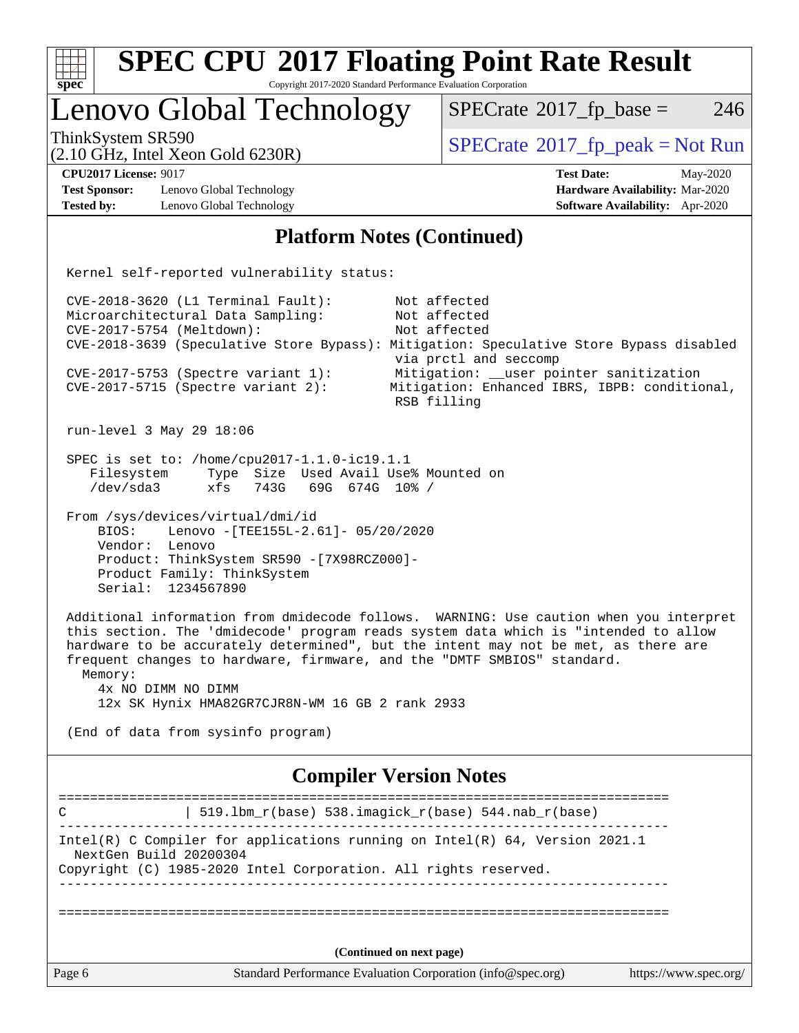| <b>SPEC CPU®2017 Floating Point Rate Result</b><br>Copyright 2017-2020 Standard Performance Evaluation Corporation<br>$spec^*$                                                                                                                                                                                                                                                                                                     |                                                                                                                                                                                  |  |  |  |  |  |
|------------------------------------------------------------------------------------------------------------------------------------------------------------------------------------------------------------------------------------------------------------------------------------------------------------------------------------------------------------------------------------------------------------------------------------|----------------------------------------------------------------------------------------------------------------------------------------------------------------------------------|--|--|--|--|--|
| Lenovo Global Technology                                                                                                                                                                                                                                                                                                                                                                                                           | $SPECrate^{\circ}2017$ _fp_base =<br>246                                                                                                                                         |  |  |  |  |  |
| ThinkSystem SR590<br>$(2.10 \text{ GHz}, \text{Intel Xeon Gold } 6230\text{R})$                                                                                                                                                                                                                                                                                                                                                    | $SPECrate^{\circ}2017$ fp peak = Not Run                                                                                                                                         |  |  |  |  |  |
| <b>CPU2017 License: 9017</b><br><b>Test Sponsor:</b><br>Lenovo Global Technology<br><b>Tested by:</b><br>Lenovo Global Technology                                                                                                                                                                                                                                                                                                  | <b>Test Date:</b><br>May-2020<br>Hardware Availability: Mar-2020<br><b>Software Availability:</b> Apr-2020                                                                       |  |  |  |  |  |
| <b>Platform Notes (Continued)</b>                                                                                                                                                                                                                                                                                                                                                                                                  |                                                                                                                                                                                  |  |  |  |  |  |
| Kernel self-reported vulnerability status:                                                                                                                                                                                                                                                                                                                                                                                         |                                                                                                                                                                                  |  |  |  |  |  |
| CVE-2018-3620 (L1 Terminal Fault):<br>Microarchitectural Data Sampling:<br>CVE-2017-5754 (Meltdown):<br>CVE-2018-3639 (Speculative Store Bypass): Mitigation: Speculative Store Bypass disabled<br>CVE-2017-5753 (Spectre variant 1):<br>$CVE-2017-5715$ (Spectre variant 2):                                                                                                                                                      | Not affected<br>Not affected<br>Not affected<br>via prctl and seccomp<br>Mitigation: __user pointer sanitization<br>Mitigation: Enhanced IBRS, IBPB: conditional,<br>RSB filling |  |  |  |  |  |
| run-level 3 May 29 18:06                                                                                                                                                                                                                                                                                                                                                                                                           |                                                                                                                                                                                  |  |  |  |  |  |
| SPEC is set to: /home/cpu2017-1.1.0-ic19.1.1<br>Type Size Used Avail Use% Mounted on<br>Filesystem<br>/dev/sda3<br>743G<br>69G 674G 10% /<br>xfs                                                                                                                                                                                                                                                                                   |                                                                                                                                                                                  |  |  |  |  |  |
| From /sys/devices/virtual/dmi/id<br>BIOS:<br>Lenovo - [TEE155L-2.61]- 05/20/2020<br>Vendor: Lenovo<br>Product: ThinkSystem SR590 -[7X98RCZ000]-<br>Product Family: ThinkSystem<br>Serial: 1234567890                                                                                                                                                                                                                               |                                                                                                                                                                                  |  |  |  |  |  |
| Additional information from dmidecode follows. WARNING: Use caution when you interpret<br>this section. The 'dmidecode' program reads system data which is "intended to allow<br>hardware to be accurately determined", but the intent may not be met, as there are<br>frequent changes to hardware, firmware, and the "DMTF SMBIOS" standard.<br>Memory:<br>4x NO DIMM NO DIMM<br>12x SK Hynix HMA82GR7CJR8N-WM 16 GB 2 rank 2933 |                                                                                                                                                                                  |  |  |  |  |  |
| (End of data from sysinfo program)                                                                                                                                                                                                                                                                                                                                                                                                 |                                                                                                                                                                                  |  |  |  |  |  |
| <b>Compiler Version Notes</b>                                                                                                                                                                                                                                                                                                                                                                                                      |                                                                                                                                                                                  |  |  |  |  |  |
| 519.1bm_r(base) 538.imagick_r(base) 544.nab_r(base)<br>C<br>------------------                                                                                                                                                                                                                                                                                                                                                     | =======================                                                                                                                                                          |  |  |  |  |  |
| Intel(R) C Compiler for applications running on Intel(R) 64, Version 2021.1<br>NextGen Build 20200304<br>Copyright (C) 1985-2020 Intel Corporation. All rights reserved.                                                                                                                                                                                                                                                           |                                                                                                                                                                                  |  |  |  |  |  |
|                                                                                                                                                                                                                                                                                                                                                                                                                                    |                                                                                                                                                                                  |  |  |  |  |  |
| (Continued on next page)                                                                                                                                                                                                                                                                                                                                                                                                           |                                                                                                                                                                                  |  |  |  |  |  |
| Page 6<br>Standard Performance Evaluation Corporation (info@spec.org)                                                                                                                                                                                                                                                                                                                                                              | https://www.spec.org/                                                                                                                                                            |  |  |  |  |  |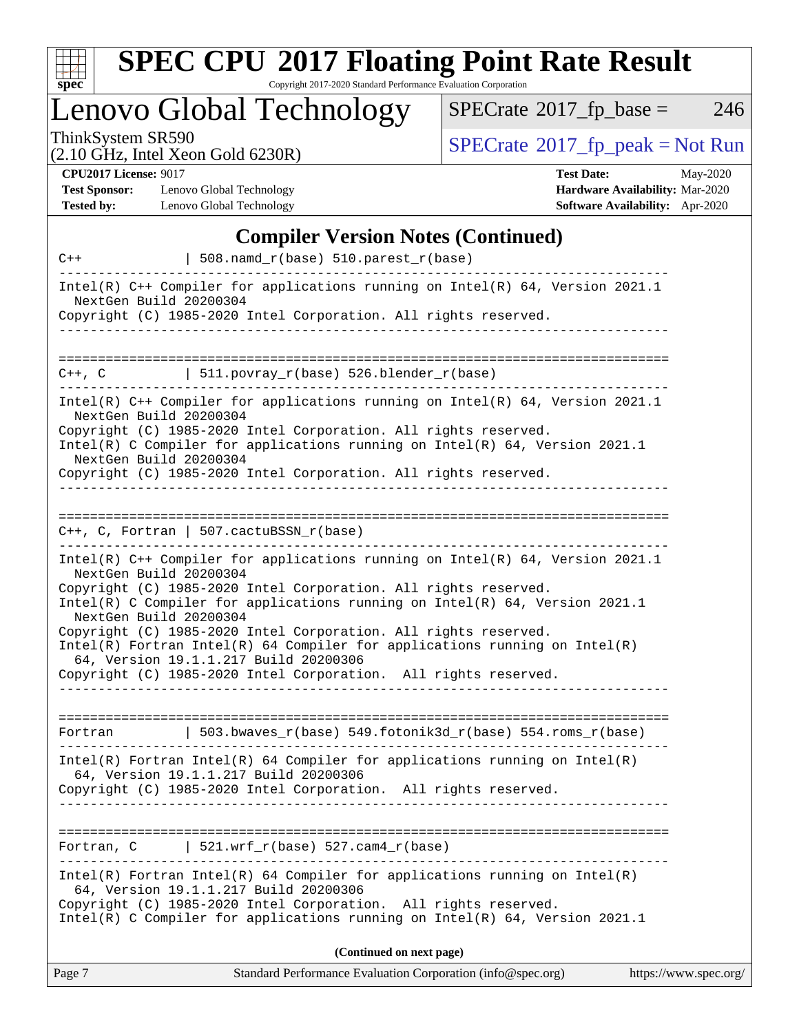

# **[SPEC CPU](http://www.spec.org/auto/cpu2017/Docs/result-fields.html#SPECCPU2017FloatingPointRateResult)[2017 Floating Point Rate Result](http://www.spec.org/auto/cpu2017/Docs/result-fields.html#SPECCPU2017FloatingPointRateResult)**

Copyright 2017-2020 Standard Performance Evaluation Corporation

Lenovo Global Technology

 $SPECTate$ <sup>®</sup>[2017\\_fp\\_base =](http://www.spec.org/auto/cpu2017/Docs/result-fields.html#SPECrate2017fpbase) 246

(2.10 GHz, Intel Xeon Gold 6230R)

ThinkSystem SR590<br>  $(2.10 \text{ GHz})$  Intel Yeon Gold 6230R)

**[CPU2017 License:](http://www.spec.org/auto/cpu2017/Docs/result-fields.html#CPU2017License)** 9017

**[Test Sponsor:](http://www.spec.org/auto/cpu2017/Docs/result-fields.html#TestSponsor)** Lenovo Global Technology **[Tested by:](http://www.spec.org/auto/cpu2017/Docs/result-fields.html#Testedby)** Lenovo Global Technology

| <b>Test Date:</b>                      | May-2020 |
|----------------------------------------|----------|
| <b>Hardware Availability: Mar-2020</b> |          |
| <b>Software Availability:</b> Apr-2020 |          |

### **[Compiler Version Notes \(Continued\)](http://www.spec.org/auto/cpu2017/Docs/result-fields.html#CompilerVersionNotes)**

| $C++$                                            | 508.namd_r(base) 510.parest_r(base)                                                                                                                                                                                                                                                                                                                                                                                                                                                                 |                       |
|--------------------------------------------------|-----------------------------------------------------------------------------------------------------------------------------------------------------------------------------------------------------------------------------------------------------------------------------------------------------------------------------------------------------------------------------------------------------------------------------------------------------------------------------------------------------|-----------------------|
| NextGen Build 20200304                           | Intel(R) $C++$ Compiler for applications running on Intel(R) 64, Version 2021.1                                                                                                                                                                                                                                                                                                                                                                                                                     |                       |
|                                                  | Copyright (C) 1985-2020 Intel Corporation. All rights reserved.                                                                                                                                                                                                                                                                                                                                                                                                                                     |                       |
|                                                  |                                                                                                                                                                                                                                                                                                                                                                                                                                                                                                     |                       |
| $C++$ , $C$                                      | 511.povray_r(base) 526.blender_r(base)                                                                                                                                                                                                                                                                                                                                                                                                                                                              |                       |
| NextGen Build 20200304<br>NextGen Build 20200304 | Intel(R) $C++$ Compiler for applications running on Intel(R) 64, Version 2021.1<br>Copyright (C) 1985-2020 Intel Corporation. All rights reserved.<br>Intel(R) C Compiler for applications running on $Intel(R) 64$ , Version 2021.1<br>Copyright (C) 1985-2020 Intel Corporation. All rights reserved.                                                                                                                                                                                             |                       |
|                                                  |                                                                                                                                                                                                                                                                                                                                                                                                                                                                                                     |                       |
|                                                  | $C_{++}$ , C, Fortran   507.cactuBSSN_r(base)                                                                                                                                                                                                                                                                                                                                                                                                                                                       |                       |
| NextGen Build 20200304<br>NextGen Build 20200304 | Intel(R) $C++$ Compiler for applications running on Intel(R) 64, Version 2021.1<br>Copyright (C) 1985-2020 Intel Corporation. All rights reserved.<br>Intel(R) C Compiler for applications running on $Intel(R) 64$ , Version 2021.1<br>Copyright (C) 1985-2020 Intel Corporation. All rights reserved.<br>$Intel(R)$ Fortran Intel(R) 64 Compiler for applications running on Intel(R)<br>64, Version 19.1.1.217 Build 20200306<br>Copyright (C) 1985-2020 Intel Corporation. All rights reserved. |                       |
| Fortran                                          | 503.bwaves_r(base) 549.fotonik3d_r(base) 554.roms_r(base)                                                                                                                                                                                                                                                                                                                                                                                                                                           |                       |
|                                                  | $Intel(R)$ Fortran Intel(R) 64 Compiler for applications running on Intel(R)<br>64, Version 19.1.1.217 Build 20200306<br>Copyright (C) 1985-2020 Intel Corporation. All rights reserved.                                                                                                                                                                                                                                                                                                            |                       |
|                                                  |                                                                                                                                                                                                                                                                                                                                                                                                                                                                                                     |                       |
| Fortran, C                                       | 521.wrf_r(base) 527.cam4_r(base)                                                                                                                                                                                                                                                                                                                                                                                                                                                                    |                       |
|                                                  | $Intel(R)$ Fortran Intel(R) 64 Compiler for applications running on Intel(R)<br>64, Version 19.1.1.217 Build 20200306<br>Copyright (C) 1985-2020 Intel Corporation. All rights reserved.<br>Intel(R) C Compiler for applications running on $Intel(R) 64$ , Version 2021.1                                                                                                                                                                                                                          |                       |
|                                                  | (Continued on next page)                                                                                                                                                                                                                                                                                                                                                                                                                                                                            |                       |
| Page 7                                           | Standard Performance Evaluation Corporation (info@spec.org)                                                                                                                                                                                                                                                                                                                                                                                                                                         | https://www.spec.org/ |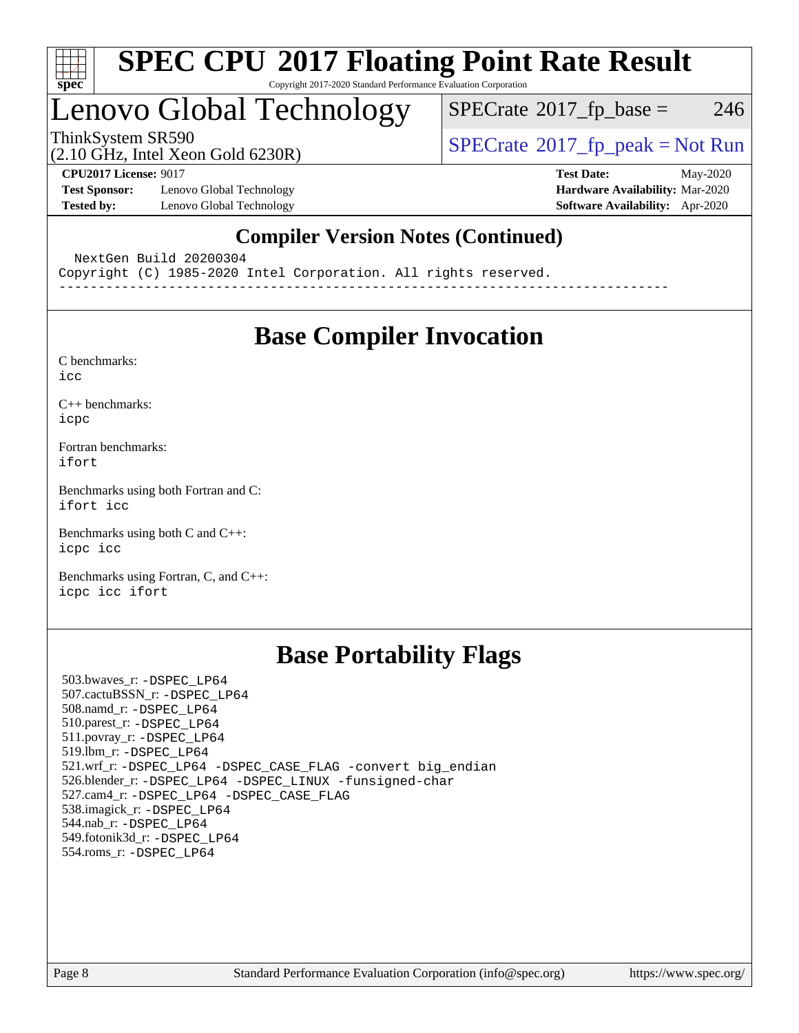

# Lenovo Global Technology

 $SPECTate@2017_fp\_base = 246$ 

(2.10 GHz, Intel Xeon Gold 6230R)

ThinkSystem SR590<br>  $(2.10 \text{ GHz}_{\text{total}} \text{ York})$  [SPECrate](http://www.spec.org/auto/cpu2017/Docs/result-fields.html#SPECrate2017fppeak)®[2017\\_fp\\_peak = N](http://www.spec.org/auto/cpu2017/Docs/result-fields.html#SPECrate2017fppeak)ot Run

**[Test Sponsor:](http://www.spec.org/auto/cpu2017/Docs/result-fields.html#TestSponsor)** Lenovo Global Technology **[Hardware Availability:](http://www.spec.org/auto/cpu2017/Docs/result-fields.html#HardwareAvailability)** Mar-2020 **[Tested by:](http://www.spec.org/auto/cpu2017/Docs/result-fields.html#Testedby)** Lenovo Global Technology **[Software Availability:](http://www.spec.org/auto/cpu2017/Docs/result-fields.html#SoftwareAvailability)** Apr-2020

**[CPU2017 License:](http://www.spec.org/auto/cpu2017/Docs/result-fields.html#CPU2017License)** 9017 **[Test Date:](http://www.spec.org/auto/cpu2017/Docs/result-fields.html#TestDate)** May-2020

### **[Compiler Version Notes \(Continued\)](http://www.spec.org/auto/cpu2017/Docs/result-fields.html#CompilerVersionNotes)**

NextGen Build 20200304

Copyright (C) 1985-2020 Intel Corporation. All rights reserved.

------------------------------------------------------------------------------

## **[Base Compiler Invocation](http://www.spec.org/auto/cpu2017/Docs/result-fields.html#BaseCompilerInvocation)**

[C benchmarks](http://www.spec.org/auto/cpu2017/Docs/result-fields.html#Cbenchmarks):

[icc](http://www.spec.org/cpu2017/results/res2020q2/cpu2017-20200609-22880.flags.html#user_CCbase_intel_icc_66fc1ee009f7361af1fbd72ca7dcefbb700085f36577c54f309893dd4ec40d12360134090235512931783d35fd58c0460139e722d5067c5574d8eaf2b3e37e92)

[C++ benchmarks:](http://www.spec.org/auto/cpu2017/Docs/result-fields.html#CXXbenchmarks) [icpc](http://www.spec.org/cpu2017/results/res2020q2/cpu2017-20200609-22880.flags.html#user_CXXbase_intel_icpc_c510b6838c7f56d33e37e94d029a35b4a7bccf4766a728ee175e80a419847e808290a9b78be685c44ab727ea267ec2f070ec5dc83b407c0218cded6866a35d07)

[Fortran benchmarks](http://www.spec.org/auto/cpu2017/Docs/result-fields.html#Fortranbenchmarks): [ifort](http://www.spec.org/cpu2017/results/res2020q2/cpu2017-20200609-22880.flags.html#user_FCbase_intel_ifort_8111460550e3ca792625aed983ce982f94888b8b503583aa7ba2b8303487b4d8a21a13e7191a45c5fd58ff318f48f9492884d4413fa793fd88dd292cad7027ca)

[Benchmarks using both Fortran and C](http://www.spec.org/auto/cpu2017/Docs/result-fields.html#BenchmarksusingbothFortranandC): [ifort](http://www.spec.org/cpu2017/results/res2020q2/cpu2017-20200609-22880.flags.html#user_CC_FCbase_intel_ifort_8111460550e3ca792625aed983ce982f94888b8b503583aa7ba2b8303487b4d8a21a13e7191a45c5fd58ff318f48f9492884d4413fa793fd88dd292cad7027ca) [icc](http://www.spec.org/cpu2017/results/res2020q2/cpu2017-20200609-22880.flags.html#user_CC_FCbase_intel_icc_66fc1ee009f7361af1fbd72ca7dcefbb700085f36577c54f309893dd4ec40d12360134090235512931783d35fd58c0460139e722d5067c5574d8eaf2b3e37e92)

[Benchmarks using both C and C++](http://www.spec.org/auto/cpu2017/Docs/result-fields.html#BenchmarksusingbothCandCXX): [icpc](http://www.spec.org/cpu2017/results/res2020q2/cpu2017-20200609-22880.flags.html#user_CC_CXXbase_intel_icpc_c510b6838c7f56d33e37e94d029a35b4a7bccf4766a728ee175e80a419847e808290a9b78be685c44ab727ea267ec2f070ec5dc83b407c0218cded6866a35d07) [icc](http://www.spec.org/cpu2017/results/res2020q2/cpu2017-20200609-22880.flags.html#user_CC_CXXbase_intel_icc_66fc1ee009f7361af1fbd72ca7dcefbb700085f36577c54f309893dd4ec40d12360134090235512931783d35fd58c0460139e722d5067c5574d8eaf2b3e37e92)

[Benchmarks using Fortran, C, and C++:](http://www.spec.org/auto/cpu2017/Docs/result-fields.html#BenchmarksusingFortranCandCXX) [icpc](http://www.spec.org/cpu2017/results/res2020q2/cpu2017-20200609-22880.flags.html#user_CC_CXX_FCbase_intel_icpc_c510b6838c7f56d33e37e94d029a35b4a7bccf4766a728ee175e80a419847e808290a9b78be685c44ab727ea267ec2f070ec5dc83b407c0218cded6866a35d07) [icc](http://www.spec.org/cpu2017/results/res2020q2/cpu2017-20200609-22880.flags.html#user_CC_CXX_FCbase_intel_icc_66fc1ee009f7361af1fbd72ca7dcefbb700085f36577c54f309893dd4ec40d12360134090235512931783d35fd58c0460139e722d5067c5574d8eaf2b3e37e92) [ifort](http://www.spec.org/cpu2017/results/res2020q2/cpu2017-20200609-22880.flags.html#user_CC_CXX_FCbase_intel_ifort_8111460550e3ca792625aed983ce982f94888b8b503583aa7ba2b8303487b4d8a21a13e7191a45c5fd58ff318f48f9492884d4413fa793fd88dd292cad7027ca)

## **[Base Portability Flags](http://www.spec.org/auto/cpu2017/Docs/result-fields.html#BasePortabilityFlags)**

 503.bwaves\_r: [-DSPEC\\_LP64](http://www.spec.org/cpu2017/results/res2020q2/cpu2017-20200609-22880.flags.html#suite_basePORTABILITY503_bwaves_r_DSPEC_LP64) 507.cactuBSSN\_r: [-DSPEC\\_LP64](http://www.spec.org/cpu2017/results/res2020q2/cpu2017-20200609-22880.flags.html#suite_basePORTABILITY507_cactuBSSN_r_DSPEC_LP64) 508.namd\_r: [-DSPEC\\_LP64](http://www.spec.org/cpu2017/results/res2020q2/cpu2017-20200609-22880.flags.html#suite_basePORTABILITY508_namd_r_DSPEC_LP64) 510.parest\_r: [-DSPEC\\_LP64](http://www.spec.org/cpu2017/results/res2020q2/cpu2017-20200609-22880.flags.html#suite_basePORTABILITY510_parest_r_DSPEC_LP64) 511.povray\_r: [-DSPEC\\_LP64](http://www.spec.org/cpu2017/results/res2020q2/cpu2017-20200609-22880.flags.html#suite_basePORTABILITY511_povray_r_DSPEC_LP64) 519.lbm\_r: [-DSPEC\\_LP64](http://www.spec.org/cpu2017/results/res2020q2/cpu2017-20200609-22880.flags.html#suite_basePORTABILITY519_lbm_r_DSPEC_LP64) 521.wrf\_r: [-DSPEC\\_LP64](http://www.spec.org/cpu2017/results/res2020q2/cpu2017-20200609-22880.flags.html#suite_basePORTABILITY521_wrf_r_DSPEC_LP64) [-DSPEC\\_CASE\\_FLAG](http://www.spec.org/cpu2017/results/res2020q2/cpu2017-20200609-22880.flags.html#b521.wrf_r_baseCPORTABILITY_DSPEC_CASE_FLAG) [-convert big\\_endian](http://www.spec.org/cpu2017/results/res2020q2/cpu2017-20200609-22880.flags.html#user_baseFPORTABILITY521_wrf_r_convert_big_endian_c3194028bc08c63ac5d04de18c48ce6d347e4e562e8892b8bdbdc0214820426deb8554edfa529a3fb25a586e65a3d812c835984020483e7e73212c4d31a38223) 526.blender\_r: [-DSPEC\\_LP64](http://www.spec.org/cpu2017/results/res2020q2/cpu2017-20200609-22880.flags.html#suite_basePORTABILITY526_blender_r_DSPEC_LP64) [-DSPEC\\_LINUX](http://www.spec.org/cpu2017/results/res2020q2/cpu2017-20200609-22880.flags.html#b526.blender_r_baseCPORTABILITY_DSPEC_LINUX) [-funsigned-char](http://www.spec.org/cpu2017/results/res2020q2/cpu2017-20200609-22880.flags.html#user_baseCPORTABILITY526_blender_r_force_uchar_40c60f00ab013830e2dd6774aeded3ff59883ba5a1fc5fc14077f794d777847726e2a5858cbc7672e36e1b067e7e5c1d9a74f7176df07886a243d7cc18edfe67) 527.cam4\_r: [-DSPEC\\_LP64](http://www.spec.org/cpu2017/results/res2020q2/cpu2017-20200609-22880.flags.html#suite_basePORTABILITY527_cam4_r_DSPEC_LP64) [-DSPEC\\_CASE\\_FLAG](http://www.spec.org/cpu2017/results/res2020q2/cpu2017-20200609-22880.flags.html#b527.cam4_r_baseCPORTABILITY_DSPEC_CASE_FLAG) 538.imagick\_r: [-DSPEC\\_LP64](http://www.spec.org/cpu2017/results/res2020q2/cpu2017-20200609-22880.flags.html#suite_basePORTABILITY538_imagick_r_DSPEC_LP64) 544.nab\_r: [-DSPEC\\_LP64](http://www.spec.org/cpu2017/results/res2020q2/cpu2017-20200609-22880.flags.html#suite_basePORTABILITY544_nab_r_DSPEC_LP64) 549.fotonik3d\_r: [-DSPEC\\_LP64](http://www.spec.org/cpu2017/results/res2020q2/cpu2017-20200609-22880.flags.html#suite_basePORTABILITY549_fotonik3d_r_DSPEC_LP64) 554.roms\_r: [-DSPEC\\_LP64](http://www.spec.org/cpu2017/results/res2020q2/cpu2017-20200609-22880.flags.html#suite_basePORTABILITY554_roms_r_DSPEC_LP64)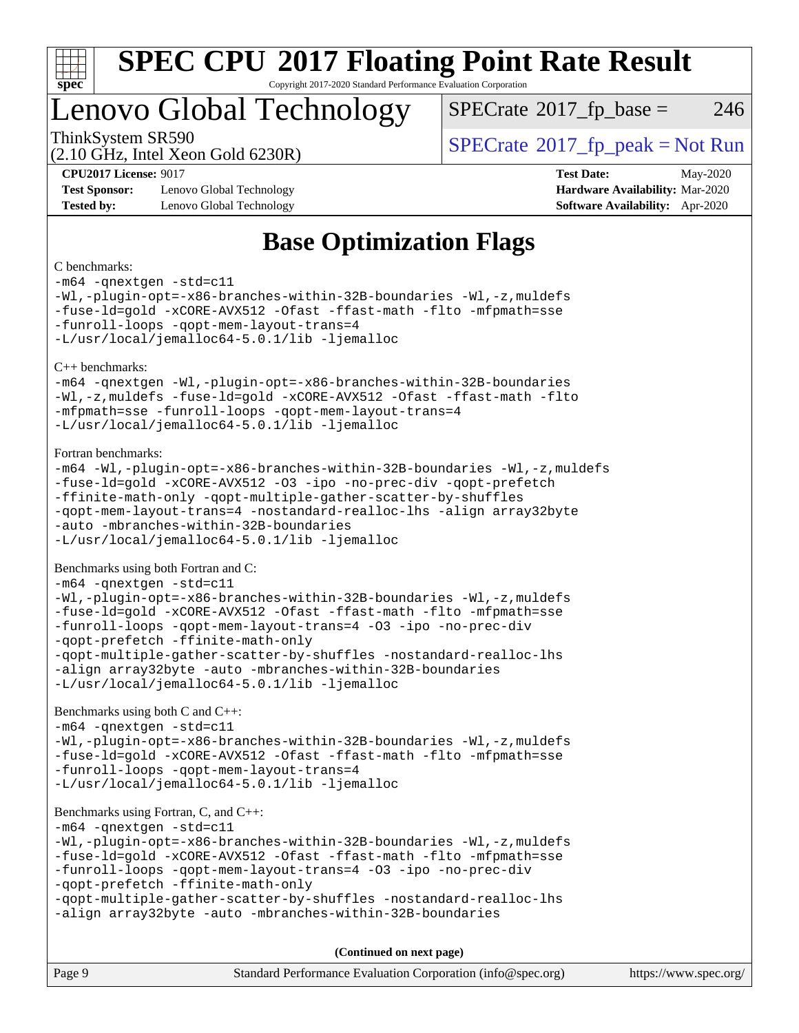

# Lenovo Global Technology

 $SPECTate@2017_fp\_base = 246$ 

(2.10 GHz, Intel Xeon Gold 6230R)

ThinkSystem SR590<br>  $SPECTA = Not Run$ <br>  $SPECTA = Not Run$ 

**[Test Sponsor:](http://www.spec.org/auto/cpu2017/Docs/result-fields.html#TestSponsor)** Lenovo Global Technology **[Hardware Availability:](http://www.spec.org/auto/cpu2017/Docs/result-fields.html#HardwareAvailability)** Mar-2020 **[Tested by:](http://www.spec.org/auto/cpu2017/Docs/result-fields.html#Testedby)** Lenovo Global Technology **[Software Availability:](http://www.spec.org/auto/cpu2017/Docs/result-fields.html#SoftwareAvailability)** Apr-2020

**[CPU2017 License:](http://www.spec.org/auto/cpu2017/Docs/result-fields.html#CPU2017License)** 9017 **[Test Date:](http://www.spec.org/auto/cpu2017/Docs/result-fields.html#TestDate)** May-2020

## **[Base Optimization Flags](http://www.spec.org/auto/cpu2017/Docs/result-fields.html#BaseOptimizationFlags)**

### [C benchmarks](http://www.spec.org/auto/cpu2017/Docs/result-fields.html#Cbenchmarks):

[-m64](http://www.spec.org/cpu2017/results/res2020q2/cpu2017-20200609-22880.flags.html#user_CCbase_m64-icc) [-qnextgen](http://www.spec.org/cpu2017/results/res2020q2/cpu2017-20200609-22880.flags.html#user_CCbase_f-qnextgen) [-std=c11](http://www.spec.org/cpu2017/results/res2020q2/cpu2017-20200609-22880.flags.html#user_CCbase_std-icc-std_0e1c27790398a4642dfca32ffe6c27b5796f9c2d2676156f2e42c9c44eaad0c049b1cdb667a270c34d979996257aeb8fc440bfb01818dbc9357bd9d174cb8524) [-Wl,-plugin-opt=-x86-branches-within-32B-boundaries](http://www.spec.org/cpu2017/results/res2020q2/cpu2017-20200609-22880.flags.html#user_CCbase_f-x86-branches-within-32B-boundaries_0098b4e4317ae60947b7b728078a624952a08ac37a3c797dfb4ffeb399e0c61a9dd0f2f44ce917e9361fb9076ccb15e7824594512dd315205382d84209e912f3) [-Wl,-z,muldefs](http://www.spec.org/cpu2017/results/res2020q2/cpu2017-20200609-22880.flags.html#user_CCbase_link_force_multiple1_b4cbdb97b34bdee9ceefcfe54f4c8ea74255f0b02a4b23e853cdb0e18eb4525ac79b5a88067c842dd0ee6996c24547a27a4b99331201badda8798ef8a743f577) [-fuse-ld=gold](http://www.spec.org/cpu2017/results/res2020q2/cpu2017-20200609-22880.flags.html#user_CCbase_f-fuse-ld_920b3586e2b8c6e0748b9c84fa9b744736ba725a32cab14ad8f3d4ad28eecb2f59d1144823d2e17006539a88734fe1fc08fc3035f7676166309105a78aaabc32) [-xCORE-AVX512](http://www.spec.org/cpu2017/results/res2020q2/cpu2017-20200609-22880.flags.html#user_CCbase_f-xCORE-AVX512) [-Ofast](http://www.spec.org/cpu2017/results/res2020q2/cpu2017-20200609-22880.flags.html#user_CCbase_f-Ofast) [-ffast-math](http://www.spec.org/cpu2017/results/res2020q2/cpu2017-20200609-22880.flags.html#user_CCbase_f-ffast-math) [-flto](http://www.spec.org/cpu2017/results/res2020q2/cpu2017-20200609-22880.flags.html#user_CCbase_f-flto) [-mfpmath=sse](http://www.spec.org/cpu2017/results/res2020q2/cpu2017-20200609-22880.flags.html#user_CCbase_f-mfpmath_70eb8fac26bde974f8ab713bc9086c5621c0b8d2f6c86f38af0bd7062540daf19db5f3a066d8c6684be05d84c9b6322eb3b5be6619d967835195b93d6c02afa1) [-funroll-loops](http://www.spec.org/cpu2017/results/res2020q2/cpu2017-20200609-22880.flags.html#user_CCbase_f-funroll-loops) [-qopt-mem-layout-trans=4](http://www.spec.org/cpu2017/results/res2020q2/cpu2017-20200609-22880.flags.html#user_CCbase_f-qopt-mem-layout-trans_fa39e755916c150a61361b7846f310bcdf6f04e385ef281cadf3647acec3f0ae266d1a1d22d972a7087a248fd4e6ca390a3634700869573d231a252c784941a8) [-L/usr/local/jemalloc64-5.0.1/lib](http://www.spec.org/cpu2017/results/res2020q2/cpu2017-20200609-22880.flags.html#user_CCbase_jemalloc_link_path64_1_cc289568b1a6c0fd3b62c91b824c27fcb5af5e8098e6ad028160d21144ef1b8aef3170d2acf0bee98a8da324cfe4f67d0a3d0c4cc4673d993d694dc2a0df248b) [-ljemalloc](http://www.spec.org/cpu2017/results/res2020q2/cpu2017-20200609-22880.flags.html#user_CCbase_jemalloc_link_lib_d1249b907c500fa1c0672f44f562e3d0f79738ae9e3c4a9c376d49f265a04b9c99b167ecedbf6711b3085be911c67ff61f150a17b3472be731631ba4d0471706) [C++ benchmarks](http://www.spec.org/auto/cpu2017/Docs/result-fields.html#CXXbenchmarks): [-m64](http://www.spec.org/cpu2017/results/res2020q2/cpu2017-20200609-22880.flags.html#user_CXXbase_m64-icc) [-qnextgen](http://www.spec.org/cpu2017/results/res2020q2/cpu2017-20200609-22880.flags.html#user_CXXbase_f-qnextgen) [-Wl,-plugin-opt=-x86-branches-within-32B-boundaries](http://www.spec.org/cpu2017/results/res2020q2/cpu2017-20200609-22880.flags.html#user_CXXbase_f-x86-branches-within-32B-boundaries_0098b4e4317ae60947b7b728078a624952a08ac37a3c797dfb4ffeb399e0c61a9dd0f2f44ce917e9361fb9076ccb15e7824594512dd315205382d84209e912f3) [-Wl,-z,muldefs](http://www.spec.org/cpu2017/results/res2020q2/cpu2017-20200609-22880.flags.html#user_CXXbase_link_force_multiple1_b4cbdb97b34bdee9ceefcfe54f4c8ea74255f0b02a4b23e853cdb0e18eb4525ac79b5a88067c842dd0ee6996c24547a27a4b99331201badda8798ef8a743f577) [-fuse-ld=gold](http://www.spec.org/cpu2017/results/res2020q2/cpu2017-20200609-22880.flags.html#user_CXXbase_f-fuse-ld_920b3586e2b8c6e0748b9c84fa9b744736ba725a32cab14ad8f3d4ad28eecb2f59d1144823d2e17006539a88734fe1fc08fc3035f7676166309105a78aaabc32) [-xCORE-AVX512](http://www.spec.org/cpu2017/results/res2020q2/cpu2017-20200609-22880.flags.html#user_CXXbase_f-xCORE-AVX512) [-Ofast](http://www.spec.org/cpu2017/results/res2020q2/cpu2017-20200609-22880.flags.html#user_CXXbase_f-Ofast) [-ffast-math](http://www.spec.org/cpu2017/results/res2020q2/cpu2017-20200609-22880.flags.html#user_CXXbase_f-ffast-math) [-flto](http://www.spec.org/cpu2017/results/res2020q2/cpu2017-20200609-22880.flags.html#user_CXXbase_f-flto) [-mfpmath=sse](http://www.spec.org/cpu2017/results/res2020q2/cpu2017-20200609-22880.flags.html#user_CXXbase_f-mfpmath_70eb8fac26bde974f8ab713bc9086c5621c0b8d2f6c86f38af0bd7062540daf19db5f3a066d8c6684be05d84c9b6322eb3b5be6619d967835195b93d6c02afa1) [-funroll-loops](http://www.spec.org/cpu2017/results/res2020q2/cpu2017-20200609-22880.flags.html#user_CXXbase_f-funroll-loops) [-qopt-mem-layout-trans=4](http://www.spec.org/cpu2017/results/res2020q2/cpu2017-20200609-22880.flags.html#user_CXXbase_f-qopt-mem-layout-trans_fa39e755916c150a61361b7846f310bcdf6f04e385ef281cadf3647acec3f0ae266d1a1d22d972a7087a248fd4e6ca390a3634700869573d231a252c784941a8) [-L/usr/local/jemalloc64-5.0.1/lib](http://www.spec.org/cpu2017/results/res2020q2/cpu2017-20200609-22880.flags.html#user_CXXbase_jemalloc_link_path64_1_cc289568b1a6c0fd3b62c91b824c27fcb5af5e8098e6ad028160d21144ef1b8aef3170d2acf0bee98a8da324cfe4f67d0a3d0c4cc4673d993d694dc2a0df248b) [-ljemalloc](http://www.spec.org/cpu2017/results/res2020q2/cpu2017-20200609-22880.flags.html#user_CXXbase_jemalloc_link_lib_d1249b907c500fa1c0672f44f562e3d0f79738ae9e3c4a9c376d49f265a04b9c99b167ecedbf6711b3085be911c67ff61f150a17b3472be731631ba4d0471706) [Fortran benchmarks:](http://www.spec.org/auto/cpu2017/Docs/result-fields.html#Fortranbenchmarks) [-m64](http://www.spec.org/cpu2017/results/res2020q2/cpu2017-20200609-22880.flags.html#user_FCbase_m64-icc) [-Wl,-plugin-opt=-x86-branches-within-32B-boundaries](http://www.spec.org/cpu2017/results/res2020q2/cpu2017-20200609-22880.flags.html#user_FCbase_f-x86-branches-within-32B-boundaries_0098b4e4317ae60947b7b728078a624952a08ac37a3c797dfb4ffeb399e0c61a9dd0f2f44ce917e9361fb9076ccb15e7824594512dd315205382d84209e912f3) [-Wl,-z,muldefs](http://www.spec.org/cpu2017/results/res2020q2/cpu2017-20200609-22880.flags.html#user_FCbase_link_force_multiple1_b4cbdb97b34bdee9ceefcfe54f4c8ea74255f0b02a4b23e853cdb0e18eb4525ac79b5a88067c842dd0ee6996c24547a27a4b99331201badda8798ef8a743f577) [-fuse-ld=gold](http://www.spec.org/cpu2017/results/res2020q2/cpu2017-20200609-22880.flags.html#user_FCbase_f-fuse-ld_920b3586e2b8c6e0748b9c84fa9b744736ba725a32cab14ad8f3d4ad28eecb2f59d1144823d2e17006539a88734fe1fc08fc3035f7676166309105a78aaabc32) [-xCORE-AVX512](http://www.spec.org/cpu2017/results/res2020q2/cpu2017-20200609-22880.flags.html#user_FCbase_f-xCORE-AVX512) [-O3](http://www.spec.org/cpu2017/results/res2020q2/cpu2017-20200609-22880.flags.html#user_FCbase_f-O3) [-ipo](http://www.spec.org/cpu2017/results/res2020q2/cpu2017-20200609-22880.flags.html#user_FCbase_f-ipo) [-no-prec-div](http://www.spec.org/cpu2017/results/res2020q2/cpu2017-20200609-22880.flags.html#user_FCbase_f-no-prec-div) [-qopt-prefetch](http://www.spec.org/cpu2017/results/res2020q2/cpu2017-20200609-22880.flags.html#user_FCbase_f-qopt-prefetch) [-ffinite-math-only](http://www.spec.org/cpu2017/results/res2020q2/cpu2017-20200609-22880.flags.html#user_FCbase_f_finite_math_only_cb91587bd2077682c4b38af759c288ed7c732db004271a9512da14a4f8007909a5f1427ecbf1a0fb78ff2a814402c6114ac565ca162485bbcae155b5e4258871) [-qopt-multiple-gather-scatter-by-shuffles](http://www.spec.org/cpu2017/results/res2020q2/cpu2017-20200609-22880.flags.html#user_FCbase_f-qopt-multiple-gather-scatter-by-shuffles) [-qopt-mem-layout-trans=4](http://www.spec.org/cpu2017/results/res2020q2/cpu2017-20200609-22880.flags.html#user_FCbase_f-qopt-mem-layout-trans_fa39e755916c150a61361b7846f310bcdf6f04e385ef281cadf3647acec3f0ae266d1a1d22d972a7087a248fd4e6ca390a3634700869573d231a252c784941a8) [-nostandard-realloc-lhs](http://www.spec.org/cpu2017/results/res2020q2/cpu2017-20200609-22880.flags.html#user_FCbase_f_2003_std_realloc_82b4557e90729c0f113870c07e44d33d6f5a304b4f63d4c15d2d0f1fab99f5daaed73bdb9275d9ae411527f28b936061aa8b9c8f2d63842963b95c9dd6426b8a) [-align array32byte](http://www.spec.org/cpu2017/results/res2020q2/cpu2017-20200609-22880.flags.html#user_FCbase_align_array32byte_b982fe038af199962ba9a80c053b8342c548c85b40b8e86eb3cc33dee0d7986a4af373ac2d51c3f7cf710a18d62fdce2948f201cd044323541f22fc0fffc51b6) [-auto](http://www.spec.org/cpu2017/results/res2020q2/cpu2017-20200609-22880.flags.html#user_FCbase_f-auto) [-mbranches-within-32B-boundaries](http://www.spec.org/cpu2017/results/res2020q2/cpu2017-20200609-22880.flags.html#user_FCbase_f-mbranches-within-32B-boundaries) [-L/usr/local/jemalloc64-5.0.1/lib](http://www.spec.org/cpu2017/results/res2020q2/cpu2017-20200609-22880.flags.html#user_FCbase_jemalloc_link_path64_1_cc289568b1a6c0fd3b62c91b824c27fcb5af5e8098e6ad028160d21144ef1b8aef3170d2acf0bee98a8da324cfe4f67d0a3d0c4cc4673d993d694dc2a0df248b) [-ljemalloc](http://www.spec.org/cpu2017/results/res2020q2/cpu2017-20200609-22880.flags.html#user_FCbase_jemalloc_link_lib_d1249b907c500fa1c0672f44f562e3d0f79738ae9e3c4a9c376d49f265a04b9c99b167ecedbf6711b3085be911c67ff61f150a17b3472be731631ba4d0471706) [Benchmarks using both Fortran and C](http://www.spec.org/auto/cpu2017/Docs/result-fields.html#BenchmarksusingbothFortranandC): [-m64](http://www.spec.org/cpu2017/results/res2020q2/cpu2017-20200609-22880.flags.html#user_CC_FCbase_m64-icc) [-qnextgen](http://www.spec.org/cpu2017/results/res2020q2/cpu2017-20200609-22880.flags.html#user_CC_FCbase_f-qnextgen) [-std=c11](http://www.spec.org/cpu2017/results/res2020q2/cpu2017-20200609-22880.flags.html#user_CC_FCbase_std-icc-std_0e1c27790398a4642dfca32ffe6c27b5796f9c2d2676156f2e42c9c44eaad0c049b1cdb667a270c34d979996257aeb8fc440bfb01818dbc9357bd9d174cb8524) [-Wl,-plugin-opt=-x86-branches-within-32B-boundaries](http://www.spec.org/cpu2017/results/res2020q2/cpu2017-20200609-22880.flags.html#user_CC_FCbase_f-x86-branches-within-32B-boundaries_0098b4e4317ae60947b7b728078a624952a08ac37a3c797dfb4ffeb399e0c61a9dd0f2f44ce917e9361fb9076ccb15e7824594512dd315205382d84209e912f3) [-Wl,-z,muldefs](http://www.spec.org/cpu2017/results/res2020q2/cpu2017-20200609-22880.flags.html#user_CC_FCbase_link_force_multiple1_b4cbdb97b34bdee9ceefcfe54f4c8ea74255f0b02a4b23e853cdb0e18eb4525ac79b5a88067c842dd0ee6996c24547a27a4b99331201badda8798ef8a743f577) [-fuse-ld=gold](http://www.spec.org/cpu2017/results/res2020q2/cpu2017-20200609-22880.flags.html#user_CC_FCbase_f-fuse-ld_920b3586e2b8c6e0748b9c84fa9b744736ba725a32cab14ad8f3d4ad28eecb2f59d1144823d2e17006539a88734fe1fc08fc3035f7676166309105a78aaabc32) [-xCORE-AVX512](http://www.spec.org/cpu2017/results/res2020q2/cpu2017-20200609-22880.flags.html#user_CC_FCbase_f-xCORE-AVX512) [-Ofast](http://www.spec.org/cpu2017/results/res2020q2/cpu2017-20200609-22880.flags.html#user_CC_FCbase_f-Ofast) [-ffast-math](http://www.spec.org/cpu2017/results/res2020q2/cpu2017-20200609-22880.flags.html#user_CC_FCbase_f-ffast-math) [-flto](http://www.spec.org/cpu2017/results/res2020q2/cpu2017-20200609-22880.flags.html#user_CC_FCbase_f-flto) [-mfpmath=sse](http://www.spec.org/cpu2017/results/res2020q2/cpu2017-20200609-22880.flags.html#user_CC_FCbase_f-mfpmath_70eb8fac26bde974f8ab713bc9086c5621c0b8d2f6c86f38af0bd7062540daf19db5f3a066d8c6684be05d84c9b6322eb3b5be6619d967835195b93d6c02afa1) [-funroll-loops](http://www.spec.org/cpu2017/results/res2020q2/cpu2017-20200609-22880.flags.html#user_CC_FCbase_f-funroll-loops) [-qopt-mem-layout-trans=4](http://www.spec.org/cpu2017/results/res2020q2/cpu2017-20200609-22880.flags.html#user_CC_FCbase_f-qopt-mem-layout-trans_fa39e755916c150a61361b7846f310bcdf6f04e385ef281cadf3647acec3f0ae266d1a1d22d972a7087a248fd4e6ca390a3634700869573d231a252c784941a8) [-O3](http://www.spec.org/cpu2017/results/res2020q2/cpu2017-20200609-22880.flags.html#user_CC_FCbase_f-O3) [-ipo](http://www.spec.org/cpu2017/results/res2020q2/cpu2017-20200609-22880.flags.html#user_CC_FCbase_f-ipo) [-no-prec-div](http://www.spec.org/cpu2017/results/res2020q2/cpu2017-20200609-22880.flags.html#user_CC_FCbase_f-no-prec-div) [-qopt-prefetch](http://www.spec.org/cpu2017/results/res2020q2/cpu2017-20200609-22880.flags.html#user_CC_FCbase_f-qopt-prefetch) [-ffinite-math-only](http://www.spec.org/cpu2017/results/res2020q2/cpu2017-20200609-22880.flags.html#user_CC_FCbase_f_finite_math_only_cb91587bd2077682c4b38af759c288ed7c732db004271a9512da14a4f8007909a5f1427ecbf1a0fb78ff2a814402c6114ac565ca162485bbcae155b5e4258871) [-qopt-multiple-gather-scatter-by-shuffles](http://www.spec.org/cpu2017/results/res2020q2/cpu2017-20200609-22880.flags.html#user_CC_FCbase_f-qopt-multiple-gather-scatter-by-shuffles) [-nostandard-realloc-lhs](http://www.spec.org/cpu2017/results/res2020q2/cpu2017-20200609-22880.flags.html#user_CC_FCbase_f_2003_std_realloc_82b4557e90729c0f113870c07e44d33d6f5a304b4f63d4c15d2d0f1fab99f5daaed73bdb9275d9ae411527f28b936061aa8b9c8f2d63842963b95c9dd6426b8a) [-align array32byte](http://www.spec.org/cpu2017/results/res2020q2/cpu2017-20200609-22880.flags.html#user_CC_FCbase_align_array32byte_b982fe038af199962ba9a80c053b8342c548c85b40b8e86eb3cc33dee0d7986a4af373ac2d51c3f7cf710a18d62fdce2948f201cd044323541f22fc0fffc51b6) [-auto](http://www.spec.org/cpu2017/results/res2020q2/cpu2017-20200609-22880.flags.html#user_CC_FCbase_f-auto) [-mbranches-within-32B-boundaries](http://www.spec.org/cpu2017/results/res2020q2/cpu2017-20200609-22880.flags.html#user_CC_FCbase_f-mbranches-within-32B-boundaries) [-L/usr/local/jemalloc64-5.0.1/lib](http://www.spec.org/cpu2017/results/res2020q2/cpu2017-20200609-22880.flags.html#user_CC_FCbase_jemalloc_link_path64_1_cc289568b1a6c0fd3b62c91b824c27fcb5af5e8098e6ad028160d21144ef1b8aef3170d2acf0bee98a8da324cfe4f67d0a3d0c4cc4673d993d694dc2a0df248b) [-ljemalloc](http://www.spec.org/cpu2017/results/res2020q2/cpu2017-20200609-22880.flags.html#user_CC_FCbase_jemalloc_link_lib_d1249b907c500fa1c0672f44f562e3d0f79738ae9e3c4a9c376d49f265a04b9c99b167ecedbf6711b3085be911c67ff61f150a17b3472be731631ba4d0471706) [Benchmarks using both C and C++:](http://www.spec.org/auto/cpu2017/Docs/result-fields.html#BenchmarksusingbothCandCXX) [-m64](http://www.spec.org/cpu2017/results/res2020q2/cpu2017-20200609-22880.flags.html#user_CC_CXXbase_m64-icc) [-qnextgen](http://www.spec.org/cpu2017/results/res2020q2/cpu2017-20200609-22880.flags.html#user_CC_CXXbase_f-qnextgen) [-std=c11](http://www.spec.org/cpu2017/results/res2020q2/cpu2017-20200609-22880.flags.html#user_CC_CXXbase_std-icc-std_0e1c27790398a4642dfca32ffe6c27b5796f9c2d2676156f2e42c9c44eaad0c049b1cdb667a270c34d979996257aeb8fc440bfb01818dbc9357bd9d174cb8524) [-Wl,-plugin-opt=-x86-branches-within-32B-boundaries](http://www.spec.org/cpu2017/results/res2020q2/cpu2017-20200609-22880.flags.html#user_CC_CXXbase_f-x86-branches-within-32B-boundaries_0098b4e4317ae60947b7b728078a624952a08ac37a3c797dfb4ffeb399e0c61a9dd0f2f44ce917e9361fb9076ccb15e7824594512dd315205382d84209e912f3) [-Wl,-z,muldefs](http://www.spec.org/cpu2017/results/res2020q2/cpu2017-20200609-22880.flags.html#user_CC_CXXbase_link_force_multiple1_b4cbdb97b34bdee9ceefcfe54f4c8ea74255f0b02a4b23e853cdb0e18eb4525ac79b5a88067c842dd0ee6996c24547a27a4b99331201badda8798ef8a743f577) [-fuse-ld=gold](http://www.spec.org/cpu2017/results/res2020q2/cpu2017-20200609-22880.flags.html#user_CC_CXXbase_f-fuse-ld_920b3586e2b8c6e0748b9c84fa9b744736ba725a32cab14ad8f3d4ad28eecb2f59d1144823d2e17006539a88734fe1fc08fc3035f7676166309105a78aaabc32) [-xCORE-AVX512](http://www.spec.org/cpu2017/results/res2020q2/cpu2017-20200609-22880.flags.html#user_CC_CXXbase_f-xCORE-AVX512) [-Ofast](http://www.spec.org/cpu2017/results/res2020q2/cpu2017-20200609-22880.flags.html#user_CC_CXXbase_f-Ofast) [-ffast-math](http://www.spec.org/cpu2017/results/res2020q2/cpu2017-20200609-22880.flags.html#user_CC_CXXbase_f-ffast-math) [-flto](http://www.spec.org/cpu2017/results/res2020q2/cpu2017-20200609-22880.flags.html#user_CC_CXXbase_f-flto) [-mfpmath=sse](http://www.spec.org/cpu2017/results/res2020q2/cpu2017-20200609-22880.flags.html#user_CC_CXXbase_f-mfpmath_70eb8fac26bde974f8ab713bc9086c5621c0b8d2f6c86f38af0bd7062540daf19db5f3a066d8c6684be05d84c9b6322eb3b5be6619d967835195b93d6c02afa1) [-funroll-loops](http://www.spec.org/cpu2017/results/res2020q2/cpu2017-20200609-22880.flags.html#user_CC_CXXbase_f-funroll-loops) [-qopt-mem-layout-trans=4](http://www.spec.org/cpu2017/results/res2020q2/cpu2017-20200609-22880.flags.html#user_CC_CXXbase_f-qopt-mem-layout-trans_fa39e755916c150a61361b7846f310bcdf6f04e385ef281cadf3647acec3f0ae266d1a1d22d972a7087a248fd4e6ca390a3634700869573d231a252c784941a8) [-L/usr/local/jemalloc64-5.0.1/lib](http://www.spec.org/cpu2017/results/res2020q2/cpu2017-20200609-22880.flags.html#user_CC_CXXbase_jemalloc_link_path64_1_cc289568b1a6c0fd3b62c91b824c27fcb5af5e8098e6ad028160d21144ef1b8aef3170d2acf0bee98a8da324cfe4f67d0a3d0c4cc4673d993d694dc2a0df248b) [-ljemalloc](http://www.spec.org/cpu2017/results/res2020q2/cpu2017-20200609-22880.flags.html#user_CC_CXXbase_jemalloc_link_lib_d1249b907c500fa1c0672f44f562e3d0f79738ae9e3c4a9c376d49f265a04b9c99b167ecedbf6711b3085be911c67ff61f150a17b3472be731631ba4d0471706) [Benchmarks using Fortran, C, and C++](http://www.spec.org/auto/cpu2017/Docs/result-fields.html#BenchmarksusingFortranCandCXX): [-m64](http://www.spec.org/cpu2017/results/res2020q2/cpu2017-20200609-22880.flags.html#user_CC_CXX_FCbase_m64-icc) [-qnextgen](http://www.spec.org/cpu2017/results/res2020q2/cpu2017-20200609-22880.flags.html#user_CC_CXX_FCbase_f-qnextgen) [-std=c11](http://www.spec.org/cpu2017/results/res2020q2/cpu2017-20200609-22880.flags.html#user_CC_CXX_FCbase_std-icc-std_0e1c27790398a4642dfca32ffe6c27b5796f9c2d2676156f2e42c9c44eaad0c049b1cdb667a270c34d979996257aeb8fc440bfb01818dbc9357bd9d174cb8524) [-Wl,-plugin-opt=-x86-branches-within-32B-boundaries](http://www.spec.org/cpu2017/results/res2020q2/cpu2017-20200609-22880.flags.html#user_CC_CXX_FCbase_f-x86-branches-within-32B-boundaries_0098b4e4317ae60947b7b728078a624952a08ac37a3c797dfb4ffeb399e0c61a9dd0f2f44ce917e9361fb9076ccb15e7824594512dd315205382d84209e912f3) [-Wl,-z,muldefs](http://www.spec.org/cpu2017/results/res2020q2/cpu2017-20200609-22880.flags.html#user_CC_CXX_FCbase_link_force_multiple1_b4cbdb97b34bdee9ceefcfe54f4c8ea74255f0b02a4b23e853cdb0e18eb4525ac79b5a88067c842dd0ee6996c24547a27a4b99331201badda8798ef8a743f577) [-fuse-ld=gold](http://www.spec.org/cpu2017/results/res2020q2/cpu2017-20200609-22880.flags.html#user_CC_CXX_FCbase_f-fuse-ld_920b3586e2b8c6e0748b9c84fa9b744736ba725a32cab14ad8f3d4ad28eecb2f59d1144823d2e17006539a88734fe1fc08fc3035f7676166309105a78aaabc32) [-xCORE-AVX512](http://www.spec.org/cpu2017/results/res2020q2/cpu2017-20200609-22880.flags.html#user_CC_CXX_FCbase_f-xCORE-AVX512) [-Ofast](http://www.spec.org/cpu2017/results/res2020q2/cpu2017-20200609-22880.flags.html#user_CC_CXX_FCbase_f-Ofast) [-ffast-math](http://www.spec.org/cpu2017/results/res2020q2/cpu2017-20200609-22880.flags.html#user_CC_CXX_FCbase_f-ffast-math) [-flto](http://www.spec.org/cpu2017/results/res2020q2/cpu2017-20200609-22880.flags.html#user_CC_CXX_FCbase_f-flto) [-mfpmath=sse](http://www.spec.org/cpu2017/results/res2020q2/cpu2017-20200609-22880.flags.html#user_CC_CXX_FCbase_f-mfpmath_70eb8fac26bde974f8ab713bc9086c5621c0b8d2f6c86f38af0bd7062540daf19db5f3a066d8c6684be05d84c9b6322eb3b5be6619d967835195b93d6c02afa1) [-funroll-loops](http://www.spec.org/cpu2017/results/res2020q2/cpu2017-20200609-22880.flags.html#user_CC_CXX_FCbase_f-funroll-loops) [-qopt-mem-layout-trans=4](http://www.spec.org/cpu2017/results/res2020q2/cpu2017-20200609-22880.flags.html#user_CC_CXX_FCbase_f-qopt-mem-layout-trans_fa39e755916c150a61361b7846f310bcdf6f04e385ef281cadf3647acec3f0ae266d1a1d22d972a7087a248fd4e6ca390a3634700869573d231a252c784941a8) [-O3](http://www.spec.org/cpu2017/results/res2020q2/cpu2017-20200609-22880.flags.html#user_CC_CXX_FCbase_f-O3) [-ipo](http://www.spec.org/cpu2017/results/res2020q2/cpu2017-20200609-22880.flags.html#user_CC_CXX_FCbase_f-ipo) [-no-prec-div](http://www.spec.org/cpu2017/results/res2020q2/cpu2017-20200609-22880.flags.html#user_CC_CXX_FCbase_f-no-prec-div) [-qopt-prefetch](http://www.spec.org/cpu2017/results/res2020q2/cpu2017-20200609-22880.flags.html#user_CC_CXX_FCbase_f-qopt-prefetch) [-ffinite-math-only](http://www.spec.org/cpu2017/results/res2020q2/cpu2017-20200609-22880.flags.html#user_CC_CXX_FCbase_f_finite_math_only_cb91587bd2077682c4b38af759c288ed7c732db004271a9512da14a4f8007909a5f1427ecbf1a0fb78ff2a814402c6114ac565ca162485bbcae155b5e4258871) [-qopt-multiple-gather-scatter-by-shuffles](http://www.spec.org/cpu2017/results/res2020q2/cpu2017-20200609-22880.flags.html#user_CC_CXX_FCbase_f-qopt-multiple-gather-scatter-by-shuffles) [-nostandard-realloc-lhs](http://www.spec.org/cpu2017/results/res2020q2/cpu2017-20200609-22880.flags.html#user_CC_CXX_FCbase_f_2003_std_realloc_82b4557e90729c0f113870c07e44d33d6f5a304b4f63d4c15d2d0f1fab99f5daaed73bdb9275d9ae411527f28b936061aa8b9c8f2d63842963b95c9dd6426b8a) [-align array32byte](http://www.spec.org/cpu2017/results/res2020q2/cpu2017-20200609-22880.flags.html#user_CC_CXX_FCbase_align_array32byte_b982fe038af199962ba9a80c053b8342c548c85b40b8e86eb3cc33dee0d7986a4af373ac2d51c3f7cf710a18d62fdce2948f201cd044323541f22fc0fffc51b6) [-auto](http://www.spec.org/cpu2017/results/res2020q2/cpu2017-20200609-22880.flags.html#user_CC_CXX_FCbase_f-auto) [-mbranches-within-32B-boundaries](http://www.spec.org/cpu2017/results/res2020q2/cpu2017-20200609-22880.flags.html#user_CC_CXX_FCbase_f-mbranches-within-32B-boundaries) **(Continued on next page)**

Page 9 Standard Performance Evaluation Corporation [\(info@spec.org\)](mailto:info@spec.org) <https://www.spec.org/>